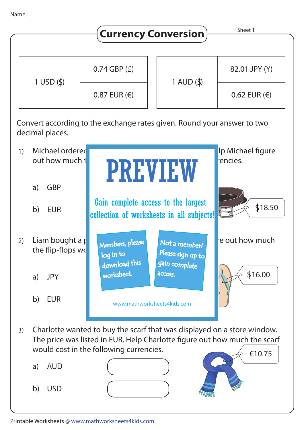